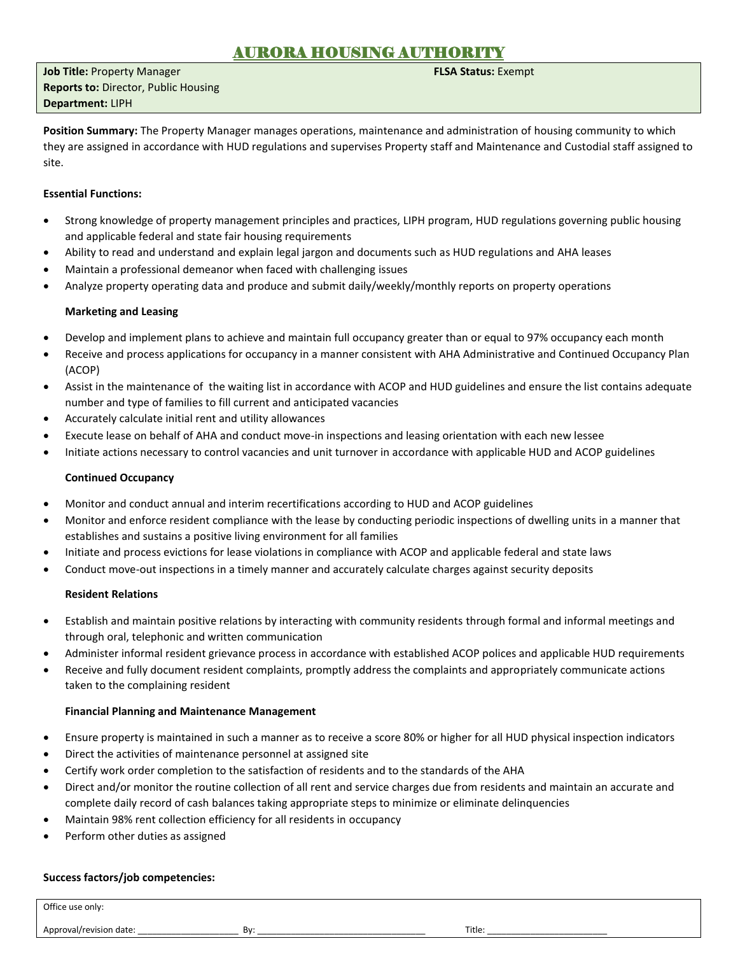## AURORA HOUSING AUTHOR

**Job Title:** Property Manager **FLSA Status:** Exempt **Reports to:** Director, Public Housing **Department:** LIPH

**Position Summary:** The Property Manager manages operations, maintenance and administration of housing community to which they are assigned in accordance with HUD regulations and supervises Property staff and Maintenance and Custodial staff assigned to site.

## **Essential Functions:**

- Strong knowledge of property management principles and practices, LIPH program, HUD regulations governing public housing and applicable federal and state fair housing requirements
- Ability to read and understand and explain legal jargon and documents such as HUD regulations and AHA leases
- Maintain a professional demeanor when faced with challenging issues
- Analyze property operating data and produce and submit daily/weekly/monthly reports on property operations

## **Marketing and Leasing**

- Develop and implement plans to achieve and maintain full occupancy greater than or equal to 97% occupancy each month
- Receive and process applications for occupancy in a manner consistent with AHA Administrative and Continued Occupancy Plan (ACOP)
- Assist in the maintenance of the waiting list in accordance with ACOP and HUD guidelines and ensure the list contains adequate number and type of families to fill current and anticipated vacancies
- Accurately calculate initial rent and utility allowances
- Execute lease on behalf of AHA and conduct move-in inspections and leasing orientation with each new lessee
- Initiate actions necessary to control vacancies and unit turnover in accordance with applicable HUD and ACOP guidelines

## **Continued Occupancy**

- Monitor and conduct annual and interim recertifications according to HUD and ACOP guidelines
- Monitor and enforce resident compliance with the lease by conducting periodic inspections of dwelling units in a manner that establishes and sustains a positive living environment for all families
- Initiate and process evictions for lease violations in compliance with ACOP and applicable federal and state laws
- Conduct move-out inspections in a timely manner and accurately calculate charges against security deposits

## **Resident Relations**

- Establish and maintain positive relations by interacting with community residents through formal and informal meetings and through oral, telephonic and written communication
- Administer informal resident grievance process in accordance with established ACOP polices and applicable HUD requirements
- Receive and fully document resident complaints, promptly address the complaints and appropriately communicate actions taken to the complaining resident

## **Financial Planning and Maintenance Management**

- Ensure property is maintained in such a manner as to receive a score 80% or higher for all HUD physical inspection indicators
- Direct the activities of maintenance personnel at assigned site
- Certify work order completion to the satisfaction of residents and to the standards of the AHA
- Direct and/or monitor the routine collection of all rent and service charges due from residents and maintain an accurate and complete daily record of cash balances taking appropriate steps to minimize or eliminate delinquencies
- Maintain 98% rent collection efficiency for all residents in occupancy
- Perform other duties as assigned

## **Success factors/job competencies:**

Office use only:

Approval/revision date: \_\_\_\_\_\_\_\_\_\_\_\_\_\_\_\_\_\_\_\_\_ By: \_\_\_\_\_\_\_\_\_\_\_\_\_\_\_\_\_\_\_\_\_\_\_\_\_\_\_\_\_\_\_\_\_\_\_ Title: \_\_\_\_\_\_\_\_\_\_\_\_\_\_\_\_\_\_\_\_\_\_\_\_\_